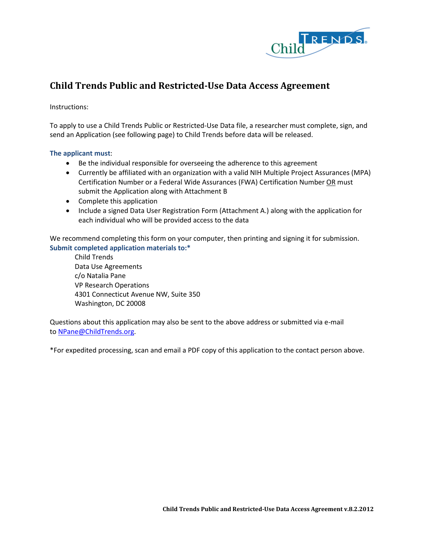

# **Child Trends Public and Restricted-Use Data Access Agreement**

Instructions:

To apply to use a Child Trends Public or Restricted-Use Data file, a researcher must complete, sign, and send an Application (see following page) to Child Trends before data will be released.

## **The applicant must**:

- Be the individual responsible for overseeing the adherence to this agreement
- Currently be affiliated with an organization with a valid NIH Multiple Project Assurances (MPA) Certification Number or a Federal Wide Assurances (FWA) Certification Number OR must submit the Application along with Attachment B
- Complete this application
- Include a signed Data User Registration Form (Attachment A.) along with the application for each individual who will be provided access to the data

We recommend completing this form on your computer, then printing and signing it for submission. **Submit completed application materials to:\*** 

Child Trends Data Use Agreements c/o Natalia Pane VP Research Operations 4301 Connecticut Avenue NW, Suite 350 Washington, DC 20008

Questions about this application may also be sent to the above address or submitted via e-mail to [NPane@ChildTrends.org.](mailto:NPane@ChildTrends.org)

\*For expedited processing, scan and email a PDF copy of this application to the contact person above.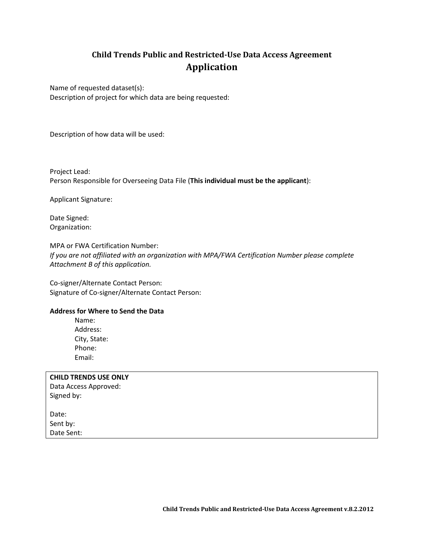# **Child Trends Public and Restricted-Use Data Access Agreement Application**

Name of requested dataset(s): Description of project for which data are being requested:

Description of how data will be used:

Project Lead: Person Responsible for Overseeing Data File (**This individual must be the applicant**):

Applicant Signature:

Date Signed: Organization:

MPA or FWA Certification Number:

*If you are not affiliated with an organization with MPA/FWA Certification Number please complete Attachment B of this application.* 

Co-signer/Alternate Contact Person: Signature of Co-signer/Alternate Contact Person:

#### **Address for Where to Send the Data**

Name: Address: City, State: Phone: Email:

# **CHILD TRENDS USE ONLY**

Data Access Approved: Signed by:

Date: Sent by: Date Sent: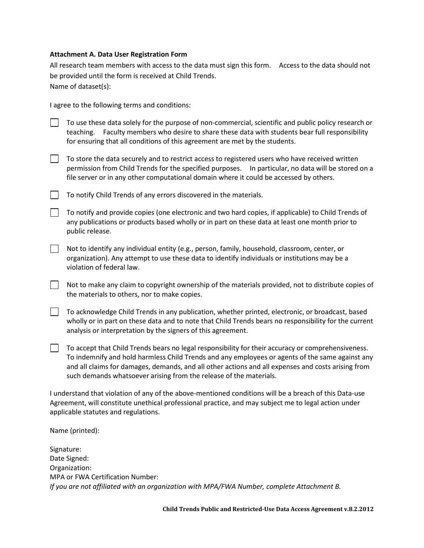## **Attachment A. Data User Registration Form**

All research team members with access to the data must sign this form. Access to the data should not be provided until the form is received at Child Trends. Name of dataset(s):

I agree to the following terms and conditions:

| To use these data solely for the purpose of non-commercial, scientific and public policy research or |                                                                                                 |  |
|------------------------------------------------------------------------------------------------------|-------------------------------------------------------------------------------------------------|--|
|                                                                                                      | teaching. Faculty members who desire to share these data with students bear full responsibility |  |
|                                                                                                      | for ensuring that all conditions of this agreement are met by the students.                     |  |

 $\Box$  To store the data securely and to restrict access to registered users who have received written permission from Child Trends for the specified purposes. In particular, no data will be stored on a file server or in any other computational domain where it could be accessed by others.

 $\vert \ \vert$  To notify Child Trends of any errors discovered in the materials.

 $\Box$  To notify and provide copies (one electronic and two hard copies, if applicable) to Child Trends of any publications or products based wholly or in part on these data at least one month prior to public release.

Not to identify any individual entity (e.g., person, family, household, classroom, center, or organization). Any attempt to use these data to identify individuals or institutions may be a violation of federal law.

 $\Box$  Not to make any claim to copyright ownership of the materials provided, not to distribute copies of the materials to others, nor to make copies.

To acknowledge Child Trends in any publication, whether printed, electronic, or broadcast, based wholly or in part on these data and to note that Child Trends bears no responsibility for the current analysis or interpretation by the signers of this agreement.

 $\Box$  To accept that Child Trends bears no legal responsibility for their accuracy or comprehensiveness. To indemnify and hold harmless Child Trends and any employees or agents of the same against any and all claims for damages, demands, and all other actions and all expenses and costs arising from such demands whatsoever arising from the release of the materials.

I understand that violation of any of the above-mentioned conditions will be a breach of this Data-use Agreement, will constitute unethical professional practice, and may subject me to legal action under applicable statutes and regulations.

Name (printed):

Signature: Date Signed: Organization: MPA or FWA Certification Number: *If you are not affiliated with an organization with MPA/FWA Number, complete Attachment B.*